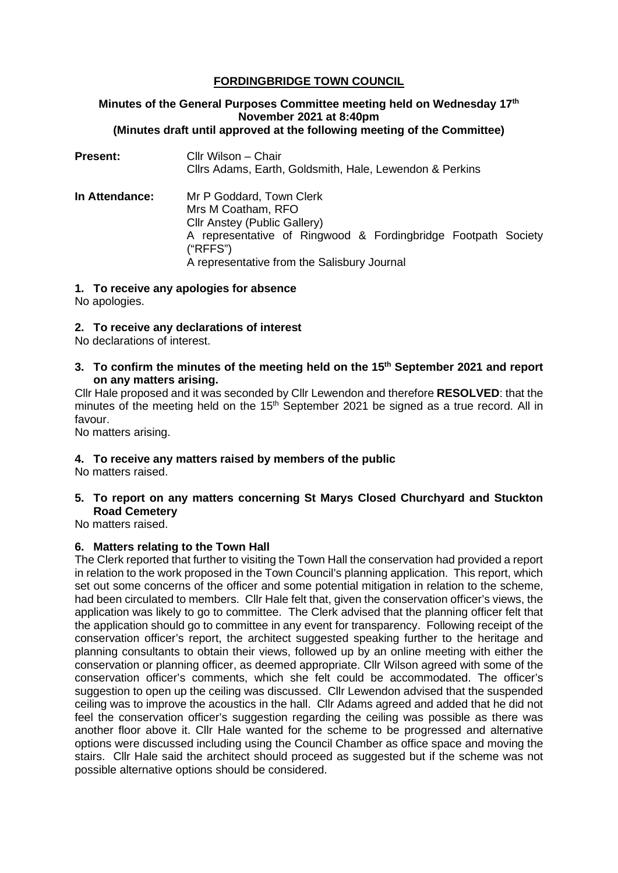# **FORDINGBRIDGE TOWN COUNCIL**

## **Minutes of the General Purposes Committee meeting held on Wednesday 17th November 2021 at 8:40pm (Minutes draft until approved at the following meeting of the Committee)**

| <b>Present:</b> | Cllr Wilson - Chair<br>Cllrs Adams, Earth, Goldsmith, Hale, Lewendon & Perkins                                                                                                                             |
|-----------------|------------------------------------------------------------------------------------------------------------------------------------------------------------------------------------------------------------|
| In Attendance:  | Mr P Goddard, Town Clerk<br>Mrs M Coatham, RFO<br>Cllr Anstey (Public Gallery)<br>A representative of Ringwood & Fordingbridge Footpath Society<br>("RFFS")<br>A representative from the Salisbury Journal |

#### **1. To receive any apologies for absence**

No apologies.

#### **2. To receive any declarations of interest**

No declarations of interest.

**3. To confirm the minutes of the meeting held on the 15th September 2021 and report on any matters arising.**

Cllr Hale proposed and it was seconded by Cllr Lewendon and therefore **RESOLVED**: that the minutes of the meeting held on the 15<sup>th</sup> September 2021 be signed as a true record. All in favour.

No matters arising.

## **4. To receive any matters raised by members of the public**

No matters raised.

## **5. To report on any matters concerning St Marys Closed Churchyard and Stuckton Road Cemetery**

No matters raised.

## **6. Matters relating to the Town Hall**

The Clerk reported that further to visiting the Town Hall the conservation had provided a report in relation to the work proposed in the Town Council's planning application. This report, which set out some concerns of the officer and some potential mitigation in relation to the scheme, had been circulated to members. Cllr Hale felt that, given the conservation officer's views, the application was likely to go to committee. The Clerk advised that the planning officer felt that the application should go to committee in any event for transparency. Following receipt of the conservation officer's report, the architect suggested speaking further to the heritage and planning consultants to obtain their views, followed up by an online meeting with either the conservation or planning officer, as deemed appropriate. Cllr Wilson agreed with some of the conservation officer's comments, which she felt could be accommodated. The officer's suggestion to open up the ceiling was discussed. Cllr Lewendon advised that the suspended ceiling was to improve the acoustics in the hall. Cllr Adams agreed and added that he did not feel the conservation officer's suggestion regarding the ceiling was possible as there was another floor above it. Cllr Hale wanted for the scheme to be progressed and alternative options were discussed including using the Council Chamber as office space and moving the stairs. Cllr Hale said the architect should proceed as suggested but if the scheme was not possible alternative options should be considered.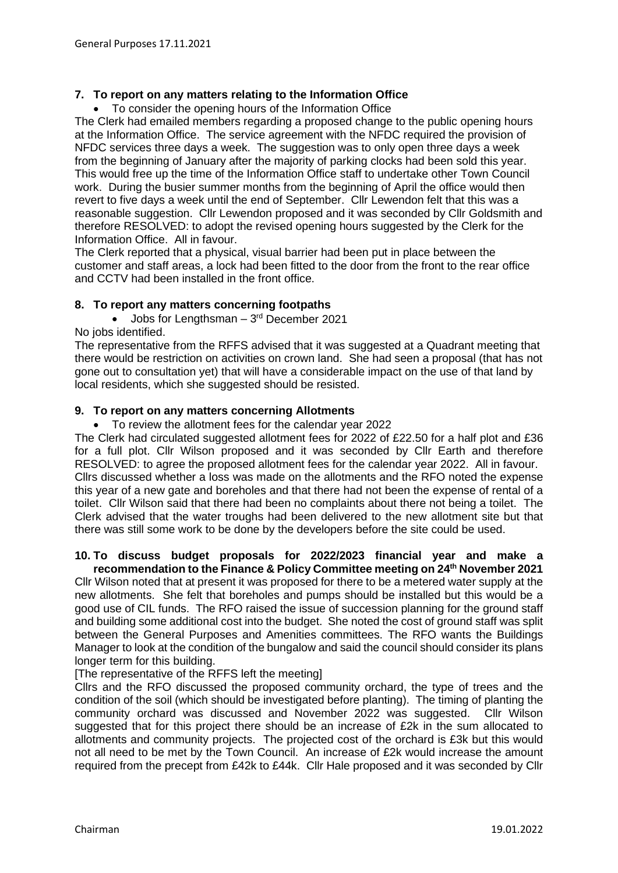## **7. To report on any matters relating to the Information Office**

• To consider the opening hours of the Information Office

The Clerk had emailed members regarding a proposed change to the public opening hours at the Information Office. The service agreement with the NFDC required the provision of NFDC services three days a week. The suggestion was to only open three days a week from the beginning of January after the majority of parking clocks had been sold this year. This would free up the time of the Information Office staff to undertake other Town Council work. During the busier summer months from the beginning of April the office would then revert to five days a week until the end of September. Cllr Lewendon felt that this was a reasonable suggestion. Cllr Lewendon proposed and it was seconded by Cllr Goldsmith and therefore RESOLVED: to adopt the revised opening hours suggested by the Clerk for the Information Office. All in favour.

The Clerk reported that a physical, visual barrier had been put in place between the customer and staff areas, a lock had been fitted to the door from the front to the rear office and CCTV had been installed in the front office.

#### **8. To report any matters concerning footpaths**

• Jobs for Lengthsman –  $3<sup>rd</sup>$  December 2021 No jobs identified.

The representative from the RFFS advised that it was suggested at a Quadrant meeting that there would be restriction on activities on crown land. She had seen a proposal (that has not gone out to consultation yet) that will have a considerable impact on the use of that land by local residents, which she suggested should be resisted.

#### **9. To report on any matters concerning Allotments**

• To review the allotment fees for the calendar year 2022

The Clerk had circulated suggested allotment fees for 2022 of £22.50 for a half plot and £36 for a full plot. Cllr Wilson proposed and it was seconded by Cllr Earth and therefore RESOLVED: to agree the proposed allotment fees for the calendar year 2022. All in favour. Cllrs discussed whether a loss was made on the allotments and the RFO noted the expense this year of a new gate and boreholes and that there had not been the expense of rental of a toilet. Cllr Wilson said that there had been no complaints about there not being a toilet. The Clerk advised that the water troughs had been delivered to the new allotment site but that there was still some work to be done by the developers before the site could be used.

#### **10. To discuss budget proposals for 2022/2023 financial year and make a recommendation to the Finance & Policy Committee meeting on 24th November 2021**

Cllr Wilson noted that at present it was proposed for there to be a metered water supply at the new allotments. She felt that boreholes and pumps should be installed but this would be a good use of CIL funds. The RFO raised the issue of succession planning for the ground staff and building some additional cost into the budget. She noted the cost of ground staff was split between the General Purposes and Amenities committees. The RFO wants the Buildings Manager to look at the condition of the bungalow and said the council should consider its plans longer term for this building.

#### [The representative of the RFFS left the meeting]

Cllrs and the RFO discussed the proposed community orchard, the type of trees and the condition of the soil (which should be investigated before planting). The timing of planting the community orchard was discussed and November 2022 was suggested. Cllr Wilson suggested that for this project there should be an increase of £2k in the sum allocated to allotments and community projects. The projected cost of the orchard is £3k but this would not all need to be met by the Town Council. An increase of £2k would increase the amount required from the precept from £42k to £44k. Cllr Hale proposed and it was seconded by Cllr